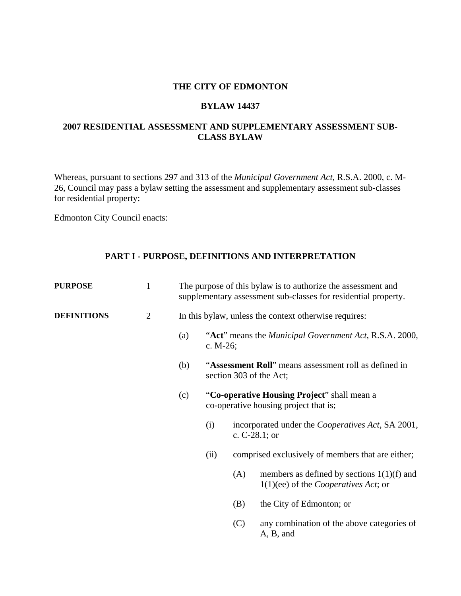#### **THE CITY OF EDMONTON**

#### **BYLAW 14437**

# **2007 RESIDENTIAL ASSESSMENT AND SUPPLEMENTARY ASSESSMENT SUB-CLASS BYLAW**

Whereas, pursuant to sections 297 and 313 of the *Municipal Government Act*, R.S.A. 2000, c. M-26, Council may pass a bylaw setting the assessment and supplementary assessment sub-classes for residential property:

Edmonton City Council enacts:

# **PART I - PURPOSE, DEFINITIONS AND INTERPRETATION**

| <b>PURPOSE</b>     | $\mathbf{1}$ | The purpose of this bylaw is to authorize the assessment and<br>supplementary assessment sub-classes for residential property. |                                                                                      |                  |                                                                                                |  |  |
|--------------------|--------------|--------------------------------------------------------------------------------------------------------------------------------|--------------------------------------------------------------------------------------|------------------|------------------------------------------------------------------------------------------------|--|--|
| <b>DEFINITIONS</b> | $\mathbf{2}$ | In this bylaw, unless the context otherwise requires:                                                                          |                                                                                      |                  |                                                                                                |  |  |
|                    |              | (a)                                                                                                                            | "Act" means the <i>Municipal Government Act</i> , R.S.A. 2000,<br>c. $M-26$ ;        |                  |                                                                                                |  |  |
|                    |              | (b)                                                                                                                            | "Assessment Roll" means assessment roll as defined in<br>section 303 of the Act;     |                  |                                                                                                |  |  |
|                    |              | (c)                                                                                                                            | "Co-operative Housing Project" shall mean a<br>co-operative housing project that is; |                  |                                                                                                |  |  |
|                    |              |                                                                                                                                | (i)                                                                                  | c. $C-28.1$ ; or | incorporated under the <i>Cooperatives Act</i> , SA 2001,                                      |  |  |
|                    |              |                                                                                                                                | (ii)                                                                                 |                  | comprised exclusively of members that are either;                                              |  |  |
|                    |              |                                                                                                                                |                                                                                      | (A)              | members as defined by sections $1(1)(f)$ and<br>$1(1)(ee)$ of the <i>Cooperatives Act</i> ; or |  |  |
|                    |              |                                                                                                                                |                                                                                      | (B)              | the City of Edmonton; or                                                                       |  |  |
|                    |              |                                                                                                                                |                                                                                      | (C)              | any combination of the above categories of<br>A, B, and                                        |  |  |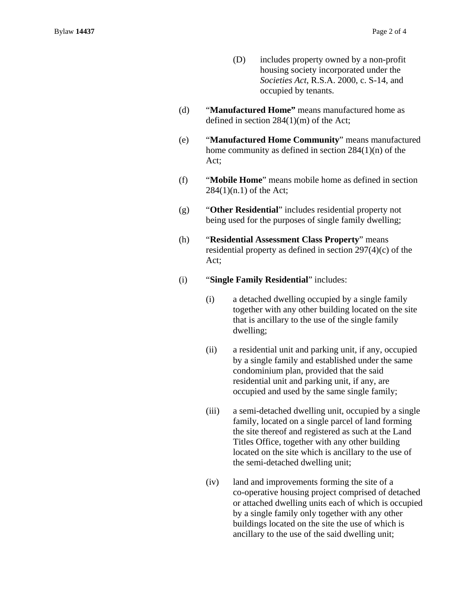- (D) includes property owned by a non-profit housing society incorporated under the *Societies Act*, R.S.A. 2000, c. S-14, and occupied by tenants.
- (d) "**Manufactured Home"** means manufactured home as defined in section 284(1)(m) of the Act;
- (e) "**Manufactured Home Community**" means manufactured home community as defined in section 284(1)(n) of the Act;
- (f) "**Mobile Home**" means mobile home as defined in section 284(1)(n.1) of the Act;
- (g) "**Other Residential**" includes residential property not being used for the purposes of single family dwelling;
- (h) "**Residential Assessment Class Property**" means residential property as defined in section 297(4)(c) of the Act;
- (i) "**Single Family Residential**" includes:
	- (i) a detached dwelling occupied by a single family together with any other building located on the site that is ancillary to the use of the single family dwelling;
	- (ii) a residential unit and parking unit, if any, occupied by a single family and established under the same condominium plan, provided that the said residential unit and parking unit, if any, are occupied and used by the same single family;
	- (iii) a semi-detached dwelling unit, occupied by a single family, located on a single parcel of land forming the site thereof and registered as such at the Land Titles Office, together with any other building located on the site which is ancillary to the use of the semi-detached dwelling unit;
	- (iv) land and improvements forming the site of a co-operative housing project comprised of detached or attached dwelling units each of which is occupied by a single family only together with any other buildings located on the site the use of which is ancillary to the use of the said dwelling unit;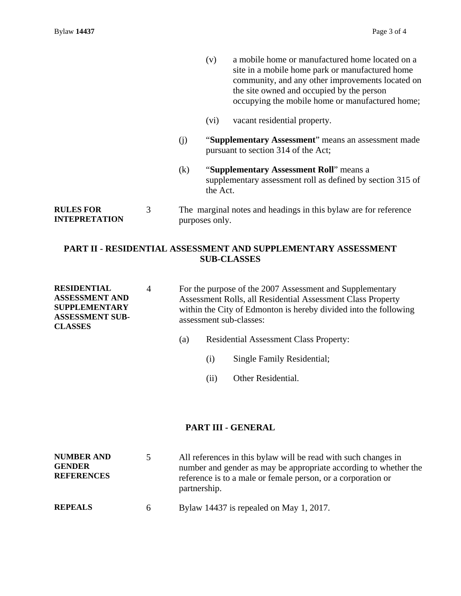- (v) a mobile home or manufactured home located on a site in a mobile home park or manufactured home community, and any other improvements located on the site owned and occupied by the person occupying the mobile home or manufactured home;
- (vi) vacant residential property.
- (j) "**Supplementary Assessment**" means an assessment made pursuant to section 314 of the Act;
- (k) "**Supplementary Assessment Roll**" means a supplementary assessment roll as defined by section 315 of the Act.

**RULES FOR INTEPRETATION**  3 The marginal notes and headings in this bylaw are for reference purposes only.

# **PART II - RESIDENTIAL ASSESSMENT AND SUPPLEMENTARY ASSESSMENT SUB-CLASSES**

- **RESIDENTIAL ASSESSMENT AND SUPPLEMENTARY ASSESSMENT SUB-CLASSES**  4 For the purpose of the 2007 Assessment and Supplementary Assessment Rolls, all Residential Assessment Class Property within the City of Edmonton is hereby divided into the following assessment sub-classes:
	- (a) Residential Assessment Class Property:
		- (i) Single Family Residential;
		- (ii) Other Residential.

#### **PART III - GENERAL**

| <b>NUMBER AND</b><br><b>GENDER</b><br><b>REFERENCES</b> |   | All references in this bylaw will be read with such changes in<br>number and gender as may be appropriate according to whether the<br>reference is to a male or female person, or a corporation or<br>partnership. |
|---------------------------------------------------------|---|--------------------------------------------------------------------------------------------------------------------------------------------------------------------------------------------------------------------|
| <b>REPEALS</b>                                          | 6 | Bylaw 14437 is repealed on May 1, 2017.                                                                                                                                                                            |